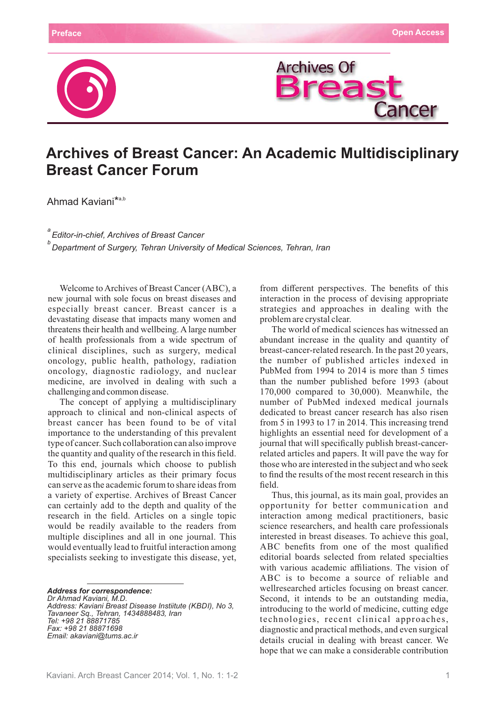



## **Archives of Breast Cancer: An Academic Multidisciplinary Breast Cancer Forum**

Ahmad Kaviani<sup>\*a,b</sup>

*a Editor-in-chief, Archives of Breast Cancer Department of Surgery, Tehran University of Medical Sciences, Tehran, Iran <sup>b</sup>*

Welcome to Archives of Breast Cancer (ABC), a new journal with sole focus on breast diseases and especially breast cancer. Breast cancer is a devastating disease that impacts many women and threatens their health and wellbeing. A large number of health professionals from a wide spectrum of clinical disciplines, such as surgery, medical oncology, public health, pathology, radiation oncology, diagnostic radiology, and nuclear medicine, are involved in dealing with such a challenging and common disease.

The concept of applying a multidisciplinary approach to clinical and non-clinical aspects of breast cancer has been found to be of vital importance to the understanding of this prevalent type of cancer. Such collaboration can also improve the quantity and quality of the research in this field. To this end, journals which choose to publish multidisciplinary articles as their primary focus can serve as the academic forum to share ideas from a variety of expertise. Archives of Breast Cancer can certainly add to the depth and quality of the research in the field. Articles on a single topic would be readily available to the readers from multiple disciplines and all in one journal. This would eventually lead to fruitful interaction among specialists seeking to investigate this disease, yet,

*Address for correspondence:*

*Dr Ahmad Kaviani, M.D. Address: Kaviani Breast Disease Instiitute (KBDI), No 3, Tavaneer Sq., Tehran, 1434888483, Iran Tel: +98 21 88871785 Fax: +98 21 88871698 Email: akaviani@tums.ac.ir*

from different perspectives. The benefits of this interaction in the process of devising appropriate strategies and approaches in dealing with the problem are crystal clear.

The world of medical sciences has witnessed an abundant increase in the quality and quantity of breast-cancer-related research. In the past 20 years, the number of published articles indexed in PubMed from 1994 to 2014 is more than 5 times than the number published before 1993 (about 170,000 compared to 30,000). Meanwhile, the number of PubMed indexed medical journals dedicated to breast cancer research has also risen from 5 in 1993 to 17 in 2014. This increasing trend highlights an essential need for development of a journal that will specifically publish breast-cancerrelated articles and papers. It will pave the way for those who are interested in the subject and who seek to find the results of the most recent research in this field.

Thus, this journal, as its main goal, provides an opportunity for better communication and interaction among medical practitioners, basic science researchers, and health care professionals interested in breast diseases. To achieve this goal, ABC benefits from one of the most qualified editorial boards selected from related specialties with various academic affiliations. The vision of ABC is to become a source of reliable and wellresearched articles focusing on breast cancer. Second, it intends to be an outstanding media, introducing to the world of medicine, cutting edge technologies, recent clinical approaches, diagnostic and practical methods, and even surgical details crucial in dealing with breast cancer. We hope that we can make a considerable contribution